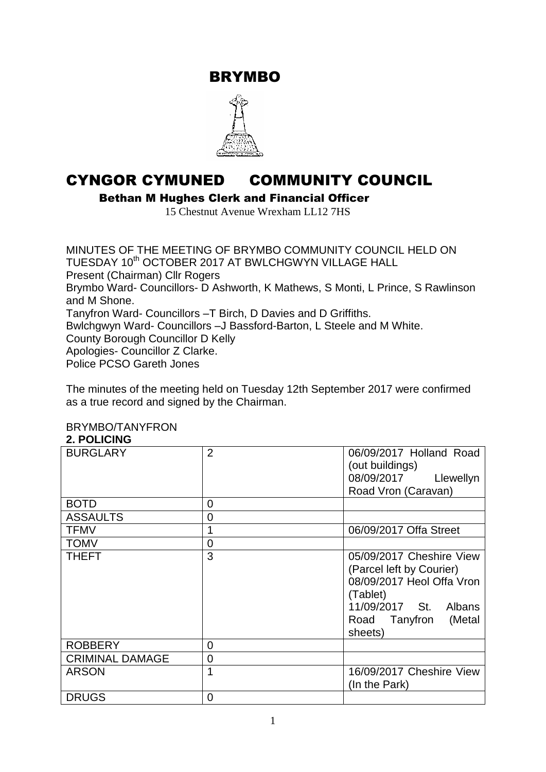BRYMBO



# CYNGOR CYMUNED COMMUNITY COUNCIL

Bethan M Hughes Clerk and Financial Officer

15 Chestnut Avenue Wrexham LL12 7HS

MINUTES OF THE MEETING OF BRYMBO COMMUNITY COUNCIL HELD ON TUESDAY 10<sup>th</sup> OCTOBER 2017 AT BWLCHGWYN VILLAGE HALL Present (Chairman) Cllr Rogers Brymbo Ward- Councillors- D Ashworth, K Mathews, S Monti, L Prince, S Rawlinson and M Shone. Tanyfron Ward- Councillors –T Birch, D Davies and D Griffiths. Bwlchgwyn Ward- Councillors –J Bassford-Barton, L Steele and M White. County Borough Councillor D Kelly Apologies- Councillor Z Clarke. Police PCSO Gareth Jones

The minutes of the meeting held on Tuesday 12th September 2017 were confirmed as a true record and signed by the Chairman.

#### BRYMBO/TANYFRON **2. POLICING**

| <b>BURGLARY</b>        | $\overline{2}$ | 06/09/2017 Holland Road<br>(out buildings)<br>08/09/2017<br>Llewellyn<br>Road Vron (Caravan)                                                                 |
|------------------------|----------------|--------------------------------------------------------------------------------------------------------------------------------------------------------------|
| <b>BOTD</b>            | 0              |                                                                                                                                                              |
| <b>ASSAULTS</b>        | 0              |                                                                                                                                                              |
| <b>TFMV</b>            | 1              | 06/09/2017 Offa Street                                                                                                                                       |
| <b>TOMV</b>            | 0              |                                                                                                                                                              |
| <b>THEFT</b>           | 3              | 05/09/2017 Cheshire View<br>(Parcel left by Courier)<br>08/09/2017 Heol Offa Vron<br>(Tablet)<br>11/09/2017 St. Albans<br>(Metal<br>Road Tanyfron<br>sheets) |
| <b>ROBBERY</b>         | 0              |                                                                                                                                                              |
| <b>CRIMINAL DAMAGE</b> | 0              |                                                                                                                                                              |
| <b>ARSON</b>           | 1              | 16/09/2017 Cheshire View<br>(In the Park)                                                                                                                    |
| <b>DRUGS</b>           | 0              |                                                                                                                                                              |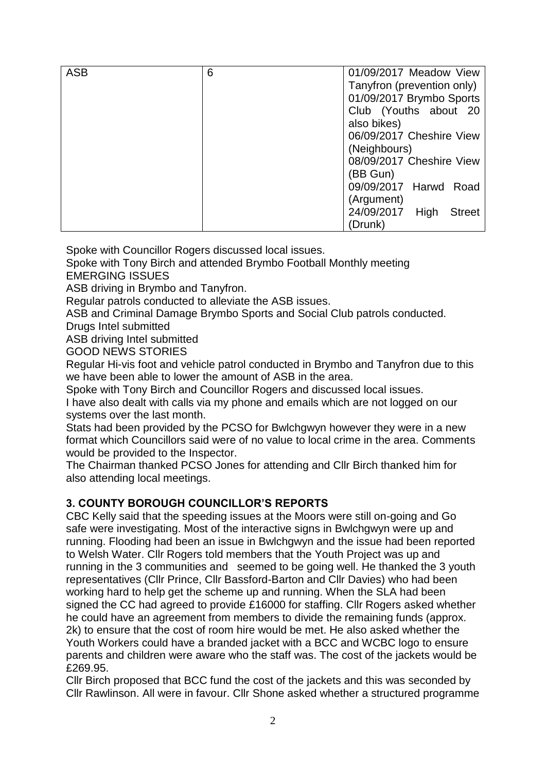| <b>ASB</b> | 6 | 01/09/2017 Meadow View              |  |  |
|------------|---|-------------------------------------|--|--|
|            |   | Tanyfron (prevention only)          |  |  |
|            |   | 01/09/2017 Brymbo Sports            |  |  |
|            |   | Club (Youths about 20               |  |  |
|            |   | also bikes)                         |  |  |
|            |   | 06/09/2017 Cheshire View            |  |  |
|            |   | (Neighbours)                        |  |  |
|            |   | 08/09/2017 Cheshire View            |  |  |
|            |   | (BB Gun)                            |  |  |
|            |   | 09/09/2017 Harwd Road               |  |  |
|            |   | (Argument)                          |  |  |
|            |   | 24/09/2017<br>High<br><b>Street</b> |  |  |
|            |   | (Drunk)                             |  |  |

Spoke with Councillor Rogers discussed local issues.

Spoke with Tony Birch and attended Brymbo Football Monthly meeting EMERGING ISSUES

ASB driving in Brymbo and Tanyfron.

Regular patrols conducted to alleviate the ASB issues.

ASB and Criminal Damage Brymbo Sports and Social Club patrols conducted.

Drugs Intel submitted

ASB driving Intel submitted

GOOD NEWS STORIES

Regular Hi-vis foot and vehicle patrol conducted in Brymbo and Tanyfron due to this we have been able to lower the amount of ASB in the area.

Spoke with Tony Birch and Councillor Rogers and discussed local issues.

I have also dealt with calls via my phone and emails which are not logged on our systems over the last month.

Stats had been provided by the PCSO for Bwlchgwyn however they were in a new format which Councillors said were of no value to local crime in the area. Comments would be provided to the Inspector.

The Chairman thanked PCSO Jones for attending and Cllr Birch thanked him for also attending local meetings.

## **3. COUNTY BOROUGH COUNCILLOR'S REPORTS**

CBC Kelly said that the speeding issues at the Moors were still on-going and Go safe were investigating. Most of the interactive signs in Bwlchgwyn were up and running. Flooding had been an issue in Bwlchgwyn and the issue had been reported to Welsh Water. Cllr Rogers told members that the Youth Project was up and running in the 3 communities and seemed to be going well. He thanked the 3 youth representatives (Cllr Prince, Cllr Bassford-Barton and Cllr Davies) who had been working hard to help get the scheme up and running. When the SLA had been signed the CC had agreed to provide £16000 for staffing. Cllr Rogers asked whether he could have an agreement from members to divide the remaining funds (approx. 2k) to ensure that the cost of room hire would be met. He also asked whether the Youth Workers could have a branded jacket with a BCC and WCBC logo to ensure parents and children were aware who the staff was. The cost of the jackets would be £269.95.

Cllr Birch proposed that BCC fund the cost of the jackets and this was seconded by Cllr Rawlinson. All were in favour. Cllr Shone asked whether a structured programme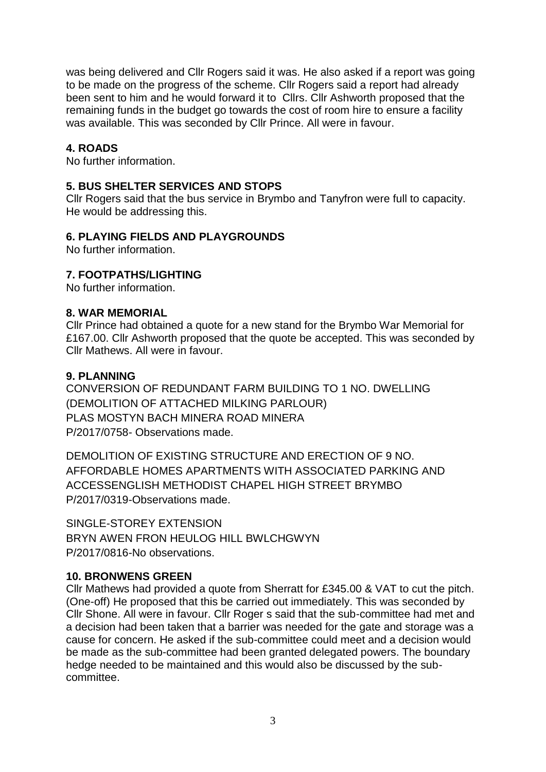was being delivered and Cllr Rogers said it was. He also asked if a report was going to be made on the progress of the scheme. Cllr Rogers said a report had already been sent to him and he would forward it to Cllrs. Cllr Ashworth proposed that the remaining funds in the budget go towards the cost of room hire to ensure a facility was available. This was seconded by Cllr Prince. All were in favour.

## **4. ROADS**

No further information.

## **5. BUS SHELTER SERVICES AND STOPS**

Cllr Rogers said that the bus service in Brymbo and Tanyfron were full to capacity. He would be addressing this.

## **6. PLAYING FIELDS AND PLAYGROUNDS**

No further information.

## **7. FOOTPATHS/LIGHTING**

No further information.

#### **8. WAR MEMORIAL**

Cllr Prince had obtained a quote for a new stand for the Brymbo War Memorial for £167.00. Cllr Ashworth proposed that the quote be accepted. This was seconded by Cllr Mathews. All were in favour

#### **9. PLANNING**

CONVERSION OF REDUNDANT FARM BUILDING TO 1 NO. DWELLING (DEMOLITION OF ATTACHED MILKING PARLOUR) PLAS MOSTYN BACH MINERA ROAD MINERA P/2017/0758- Observations made.

DEMOLITION OF EXISTING STRUCTURE AND ERECTION OF 9 NO. AFFORDABLE HOMES APARTMENTS WITH ASSOCIATED PARKING AND ACCESSENGLISH METHODIST CHAPEL HIGH STREET BRYMBO P/2017/0319-Observations made.

SINGLE-STOREY EXTENSION BRYN AWEN FRON HEULOG HILL BWLCHGWYN P/2017/0816-No observations.

#### **10. BRONWENS GREEN**

Cllr Mathews had provided a quote from Sherratt for £345.00 & VAT to cut the pitch. (One-off) He proposed that this be carried out immediately. This was seconded by Cllr Shone. All were in favour. Cllr Roger s said that the sub-committee had met and a decision had been taken that a barrier was needed for the gate and storage was a cause for concern. He asked if the sub-committee could meet and a decision would be made as the sub-committee had been granted delegated powers. The boundary hedge needed to be maintained and this would also be discussed by the subcommittee.